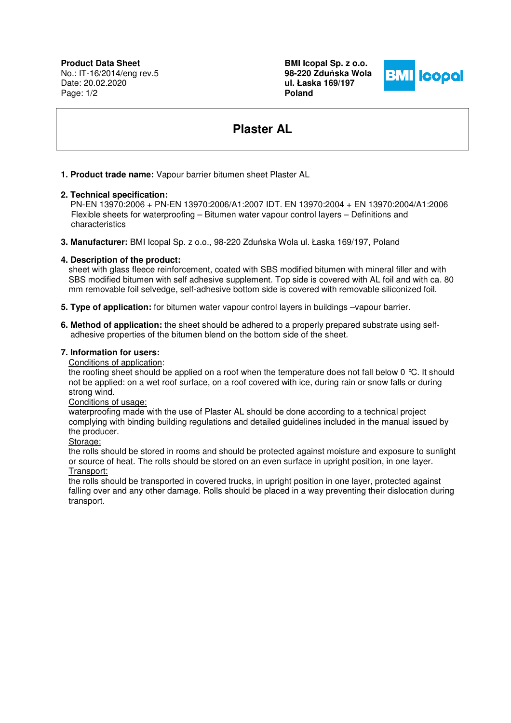**Product Data Sheet** No.: IT-16/2014/eng rev.5 Date: 20.02.2020 Page: 1/2

**BMI Icopal Sp. z o.o. 98-220 Zdu**ń**ska Wola ul. Łaska 169/197 Poland** 



# **Plaster AL**

# **1. Product trade name:** Vapour barrier bitumen sheet Plaster AL

# **2. Technical specification:**

 PN-EN 13970:2006 + PN-EN 13970:2006/A1:2007 IDT. EN 13970:2004 + EN 13970:2004/A1:2006 Flexible sheets for waterproofing – Bitumen water vapour control layers – Definitions and characteristics

**3. Manufacturer:** BMI Icopal Sp. z o.o., 98-220 Zduńska Wola ul. Łaska 169/197, Poland

# **4. Description of the product:**

sheet with glass fleece reinforcement, coated with SBS modified bitumen with mineral filler and with SBS modified bitumen with self adhesive supplement. Top side is covered with AL foil and with ca. 80 mm removable foil selvedge, self-adhesive bottom side is covered with removable siliconized foil.

- **5. Type of application:** for bitumen water vapour control layers in buildings –vapour barrier.
- **6. Method of application:** the sheet should be adhered to a properly prepared substrate using self adhesive properties of the bitumen blend on the bottom side of the sheet.

# **7. Information for users:**

Conditions of application:

the roofing sheet should be applied on a roof when the temperature does not fall below 0 °C. It should not be applied: on a wet roof surface, on a roof covered with ice, during rain or snow falls or during strong wind.

#### Conditions of usage:

waterproofing made with the use of Plaster AL should be done according to a technical project complying with binding building regulations and detailed guidelines included in the manual issued by the producer.

#### Storage:

the rolls should be stored in rooms and should be protected against moisture and exposure to sunlight or source of heat. The rolls should be stored on an even surface in upright position, in one layer. Transport:

the rolls should be transported in covered trucks, in upright position in one layer, protected against falling over and any other damage. Rolls should be placed in a way preventing their dislocation during transport.